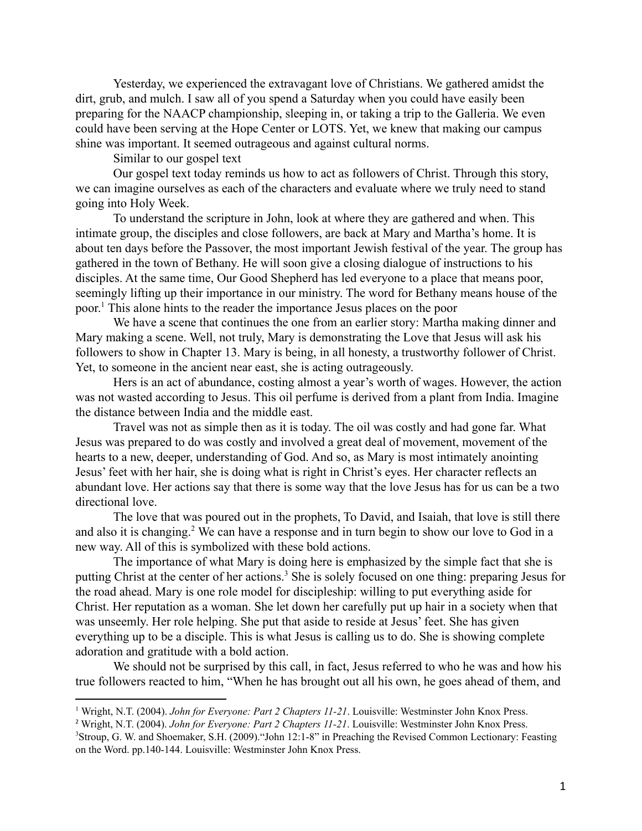Yesterday, we experienced the extravagant love of Christians. We gathered amidst the dirt, grub, and mulch. I saw all of you spend a Saturday when you could have easily been preparing for the NAACP championship, sleeping in, or taking a trip to the Galleria. We even could have been serving at the Hope Center or LOTS. Yet, we knew that making our campus shine was important. It seemed outrageous and against cultural norms.

Similar to our gospel text

Our gospel text today reminds us how to act as followers of Christ. Through this story, we can imagine ourselves as each of the characters and evaluate where we truly need to stand going into Holy Week.

To understand the scripture in John, look at where they are gathered and when. This intimate group, the disciples and close followers, are back at Mary and Martha's home. It is about ten days before the Passover, the most important Jewish festival of the year. The group has gathered in the town of Bethany. He will soon give a closing dialogue of instructions to his disciples. At the same time, Our Good Shepherd has led everyone to a place that means poor, seemingly lifting up their importance in our ministry. The word for Bethany means house of the poor.<sup>1</sup> This alone hints to the reader the importance Jesus places on the poor

We have a scene that continues the one from an earlier story: Martha making dinner and Mary making a scene. Well, not truly, Mary is demonstrating the Love that Jesus will ask his followers to show in Chapter 13. Mary is being, in all honesty, a trustworthy follower of Christ. Yet, to someone in the ancient near east, she is acting outrageously.

Hers is an act of abundance, costing almost a year's worth of wages. However, the action was not wasted according to Jesus. This oil perfume is derived from a plant from India. Imagine the distance between India and the middle east.

Travel was not as simple then as it is today. The oil was costly and had gone far. What Jesus was prepared to do was costly and involved a great deal of movement, movement of the hearts to a new, deeper, understanding of God. And so, as Mary is most intimately anointing Jesus' feet with her hair, she is doing what is right in Christ's eyes. Her character reflects an abundant love. Her actions say that there is some way that the love Jesus has for us can be a two directional love.

The love that was poured out in the prophets, To David, and Isaiah, that love is still there and also it is changing.<sup>2</sup> We can have a response and in turn begin to show our love to God in a new way. All of this is symbolized with these bold actions.

The importance of what Mary is doing here is emphasized by the simple fact that she is putting Christ at the center of her actions.<sup>3</sup> She is solely focused on one thing: preparing Jesus for the road ahead. Mary is one role model for discipleship: willing to put everything aside for Christ. Her reputation as a woman. She let down her carefully put up hair in a society when that was unseemly. Her role helping. She put that aside to reside at Jesus' feet. She has given everything up to be a disciple. This is what Jesus is calling us to do. She is showing complete adoration and gratitude with a bold action.

We should not be surprised by this call, in fact, Jesus referred to who he was and how his true followers reacted to him, "When he has brought out all his own, he goes ahead of them, and

<sup>1</sup> Wright, N.T. (2004). *John for Everyone: Part 2 Chapters 11-21*. Louisville: Westminster John Knox Press.

<sup>3</sup>Stroup, G. W. and Shoemaker, S.H. (2009)."John 12:1-8" in Preaching the Revised Common Lectionary: Feasting on the Word. pp.140-144. Louisville: Westminster John Knox Press. <sup>2</sup> Wright, N.T. (2004). *John for Everyone: Part 2 Chapters 11-21*. Louisville: Westminster John Knox Press.